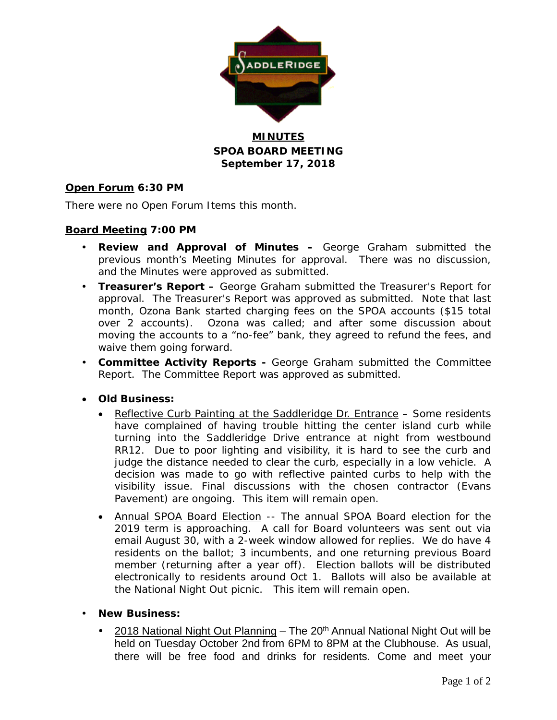

### **MINUTES SPOA BOARD MEETING September 17, 2018**

### **Open Forum 6:30 PM**

There were no Open Forum Items this month.

### **Board Meeting 7:00 PM**

- **Review and Approval of Minutes –** George Graham submitted the previous month's Meeting Minutes for approval. There was no discussion, and the Minutes were approved as submitted.
- **Treasurer's Report –** George Graham submitted the Treasurer's Report for approval. The Treasurer's Report was approved as submitted. Note that last month, Ozona Bank started charging fees on the SPOA accounts (\$15 total over 2 accounts). Ozona was called; and after some discussion about moving the accounts to a "no-fee" bank, they agreed to refund the fees, and waive them going forward.
- **Committee Activity Reports -** George Graham submitted the Committee Report. The Committee Report was approved as submitted.
- **Old Business:**
	- Reflective Curb Painting at the Saddleridge Dr. Entrance Some residents have complained of having trouble hitting the center island curb while turning into the Saddleridge Drive entrance at night from westbound RR12. Due to poor lighting and visibility, it is hard to see the curb and judge the distance needed to clear the curb, especially in a low vehicle. A decision was made to go with reflective painted curbs to help with the visibility issue. Final discussions with the chosen contractor (Evans Pavement) are ongoing. This item will remain open.
	- Annual SPOA Board Election -- The annual SPOA Board election for the 2019 term is approaching. A call for Board volunteers was sent out via email August 30, with a 2-week window allowed for replies. We do have 4 residents on the ballot; 3 incumbents, and one returning previous Board member (returning after a year off). Election ballots will be distributed electronically to residents around Oct 1. Ballots will also be available at the National Night Out picnic. This item will remain open.
- **New Business:**
	- 2018 National Night Out Planning The 20<sup>th</sup> Annual National Night Out will be held on Tuesday October 2nd from 6PM to 8PM at the Clubhouse. As usual, there will be free food and drinks for residents. Come and meet your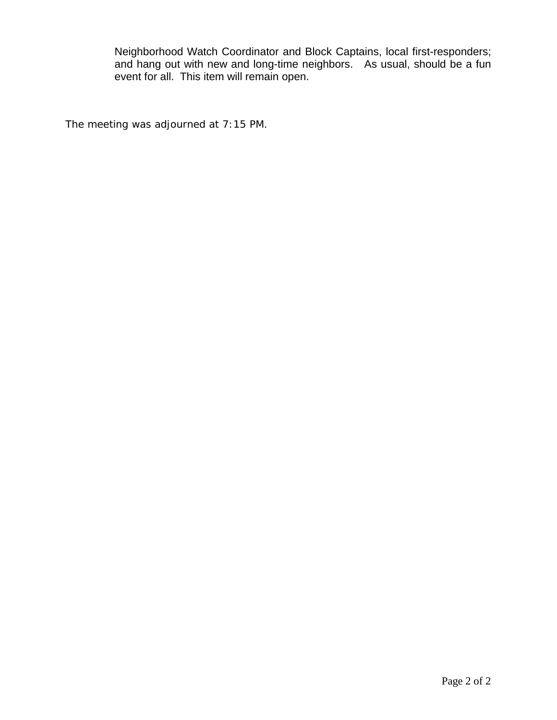Neighborhood Watch Coordinator and Block Captains, local first-responders; and hang out with new and long-time neighbors. As usual, should be a fun event for all. This item will remain open.

The meeting was adjourned at 7:15 PM.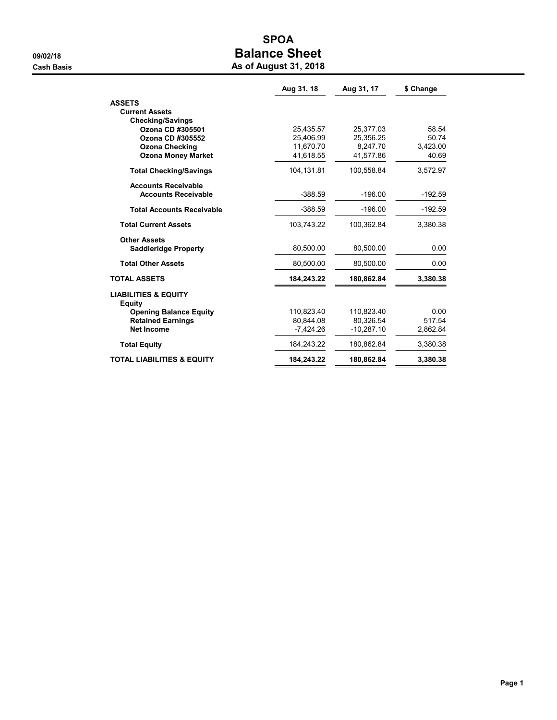# SPOA 09/02/18 **Balance Sheet Cash Basis** Cash Basis **As of August 31, 2018**

|                                           | Aug 31, 18  | Aug 31, 17   | \$ Change |
|-------------------------------------------|-------------|--------------|-----------|
| <b>ASSETS</b>                             |             |              |           |
| <b>Current Assets</b>                     |             |              |           |
| <b>Checking/Savings</b>                   |             |              |           |
| Ozona CD #305501                          | 25,435.57   | 25,377.03    | 58.54     |
| Ozona CD #305552                          | 25,406.99   | 25.356.25    | 50.74     |
| <b>Ozona Checking</b>                     | 11.670.70   | 8.247.70     | 3.423.00  |
| <b>Ozona Money Market</b>                 | 41,618.55   | 41,577.86    | 40.69     |
| <b>Total Checking/Savings</b>             | 104,131.81  | 100,558.84   | 3,572.97  |
| <b>Accounts Receivable</b>                |             |              |           |
| <b>Accounts Receivable</b>                | $-388.59$   | $-196.00$    | $-192.59$ |
| <b>Total Accounts Receivable</b>          | $-388.59$   | $-196.00$    | $-192.59$ |
| <b>Total Current Assets</b>               | 103,743.22  | 100,362.84   | 3,380.38  |
| <b>Other Assets</b>                       |             |              |           |
| <b>Saddleridge Property</b>               | 80,500.00   | 80.500.00    | 0.00      |
| <b>Total Other Assets</b>                 | 80,500.00   | 80,500.00    | 0.00      |
| <b>TOTAL ASSETS</b>                       | 184,243.22  | 180,862.84   | 3,380.38  |
| <b>LIABILITIES &amp; EQUITY</b><br>Equity |             |              |           |
| <b>Opening Balance Equity</b>             | 110.823.40  | 110.823.40   | 0.00      |
| <b>Retained Earnings</b>                  | 80.844.08   | 80.326.54    | 517.54    |
| <b>Net Income</b>                         | $-7,424.26$ | $-10,287.10$ | 2,862.84  |
| <b>Total Equity</b>                       | 184,243.22  | 180,862.84   | 3,380.38  |
| <b>TOTAL LIABILITIES &amp; EQUITY</b>     | 184,243.22  | 180,862.84   | 3,380.38  |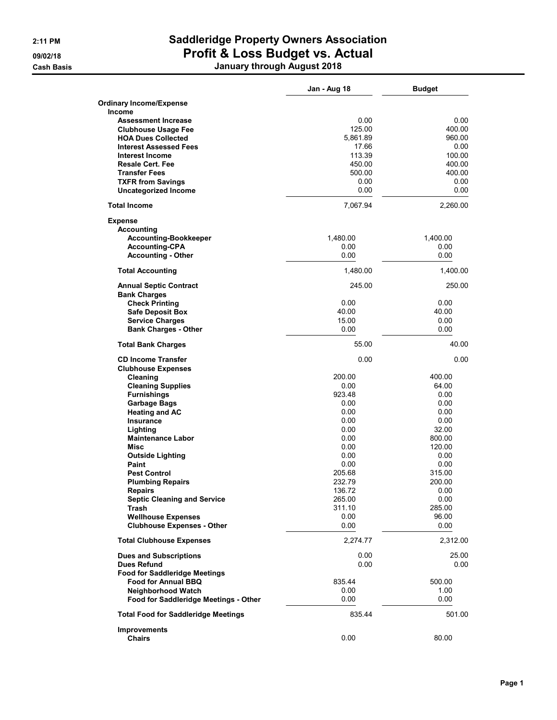## 2:11 PM Saddleridge Property Owners Association 09/02/18 **Profit & Loss Budget vs. Actual** Cash Basis January through August 2018

|                                                      | Jan - Aug 18 | <b>Budget</b> |
|------------------------------------------------------|--------------|---------------|
| <b>Ordinary Income/Expense</b>                       |              |               |
| Income                                               |              |               |
| <b>Assessment Increase</b>                           | 0.00         | 0.00          |
| <b>Clubhouse Usage Fee</b>                           | 125.00       | 400.00        |
| <b>HOA Dues Collected</b>                            | 5,861.89     | 960.00        |
| <b>Interest Assessed Fees</b>                        | 17.66        | 0.00          |
| <b>Interest Income</b>                               | 113.39       | 100.00        |
| <b>Resale Cert. Fee</b>                              | 450.00       | 400.00        |
| <b>Transfer Fees</b>                                 | 500.00       | 400.00        |
| <b>TXFR from Savings</b>                             | 0.00         | 0.00          |
| <b>Uncategorized Income</b>                          | 0.00         | 0.00          |
| <b>Total Income</b>                                  | 7,067.94     | 2,260.00      |
| <b>Expense</b>                                       |              |               |
| <b>Accounting</b>                                    |              |               |
| <b>Accounting-Bookkeeper</b>                         | 1,480.00     | 1,400.00      |
| <b>Accounting-CPA</b>                                | 0.00         | 0.00          |
| <b>Accounting - Other</b>                            | 0.00         | 0.00          |
| <b>Total Accounting</b>                              | 1.480.00     | 1,400.00      |
|                                                      |              |               |
| <b>Annual Septic Contract</b><br><b>Bank Charges</b> | 245.00       | 250.00        |
| <b>Check Printing</b>                                | 0.00         | 0.00          |
| <b>Safe Deposit Box</b>                              | 40.00        | 40.00         |
| <b>Service Charges</b>                               | 15.00        | 0.00          |
| <b>Bank Charges - Other</b>                          | 0.00         | 0.00          |
| <b>Total Bank Charges</b>                            | 55.00        | 40.00         |
|                                                      |              |               |
| <b>CD Income Transfer</b>                            | 0.00         | 0.00          |
| <b>Clubhouse Expenses</b>                            |              |               |
| Cleaning                                             | 200.00       | 400.00        |
| <b>Cleaning Supplies</b>                             | 0.00         | 64.00         |
| <b>Furnishings</b>                                   | 923.48       | 0.00          |
| Garbage Bags                                         | 0.00         | 0.00          |
| <b>Heating and AC</b>                                | 0.00         | 0.00          |
| <b>Insurance</b>                                     | 0.00         | 0.00          |
| Lighting                                             | 0.00         | 32.00         |
| <b>Maintenance Labor</b>                             | 0.00         | 800.00        |
| Misc                                                 | 0.00         | 120.00        |
| <b>Outside Lighting</b>                              | 0.00         | 0.00          |
| Paint                                                | 0.00         | 0.00          |
| <b>Pest Control</b>                                  | 205.68       | 315.00        |
| <b>Plumbing Repairs</b>                              | 232.79       | 200.00        |
| <b>Repairs</b>                                       | 136.72       | 0.00          |
| <b>Septic Cleaning and Service</b>                   | 265.00       | 0.00          |
| Trash                                                | 311.10       | 285.00        |
| <b>Wellhouse Expenses</b>                            | 0.00         | 96.00         |
| <b>Clubhouse Expenses - Other</b>                    | 0.00         | 0.00          |
| <b>Total Clubhouse Expenses</b>                      | 2,274.77     | 2,312.00      |
| <b>Dues and Subscriptions</b>                        | 0.00         | 25.00         |
| <b>Dues Refund</b>                                   | 0.00         | 0.00          |
| <b>Food for Saddleridge Meetings</b>                 |              |               |
| <b>Food for Annual BBQ</b>                           | 835.44       | 500.00        |
| <b>Neighborhood Watch</b>                            | 0.00         | 1.00          |
| Food for Saddleridge Meetings - Other                | 0.00         | 0.00          |
| <b>Total Food for Saddleridge Meetings</b>           | 835.44       | 501.00        |
| <b>Improvements</b>                                  |              |               |
| <b>Chairs</b>                                        | 0.00         | 80.00         |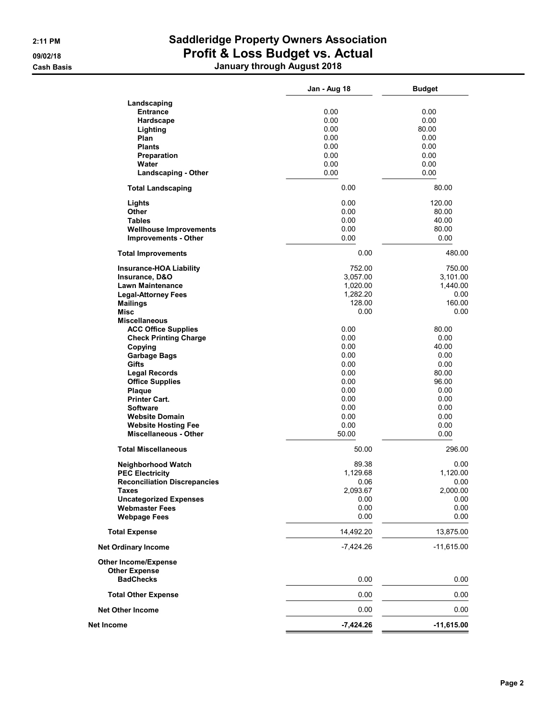## 2:11 PM Saddleridge Property Owners Association 09/02/18 **Profit & Loss Budget vs. Actual** Cash Basis January through August 2018

|                                     | Jan - Aug 18 | <b>Budget</b> |
|-------------------------------------|--------------|---------------|
| Landscaping                         |              |               |
| <b>Entrance</b>                     | 0.00         | 0.00          |
| Hardscape                           | 0.00         | 0.00          |
| Lighting                            | 0.00         | 80.00         |
| Plan                                | 0.00         | 0.00          |
| <b>Plants</b>                       | 0.00         | 0.00          |
| Preparation                         | 0.00         | 0.00          |
| Water                               | 0.00         | 0.00          |
| <b>Landscaping - Other</b>          | 0.00         | 0.00          |
| <b>Total Landscaping</b>            | 0.00         | 80.00         |
| Lights                              | 0.00         | 120.00        |
| Other                               | 0.00         | 80.00         |
| <b>Tables</b>                       | 0.00         | 40.00         |
| <b>Wellhouse Improvements</b>       | 0.00         | 80.00         |
| <b>Improvements - Other</b>         | 0.00         | 0.00          |
| <b>Total Improvements</b>           | 0.00         | 480.00        |
| <b>Insurance-HOA Liability</b>      | 752.00       | 750.00        |
| Insurance, D&O                      | 3,057.00     | 3,101.00      |
| <b>Lawn Maintenance</b>             | 1,020.00     | 1,440.00      |
| <b>Legal-Attorney Fees</b>          | 1,282.20     | 0.00          |
| <b>Mailings</b>                     | 128.00       | 160.00        |
| <b>Misc</b>                         | 0.00         | 0.00          |
| <b>Miscellaneous</b>                |              |               |
| <b>ACC Office Supplies</b>          | 0.00         | 80.00         |
| <b>Check Printing Charge</b>        | 0.00         | 0.00          |
| Copying                             | 0.00         | 40.00         |
| <b>Garbage Bags</b>                 | 0.00         | 0.00          |
| Gifts                               | 0.00         | 0.00          |
| <b>Legal Records</b>                | 0.00         | 80.00         |
| <b>Office Supplies</b>              | 0.00         | 96.00         |
| Plaque                              | 0.00         | 0.00          |
| <b>Printer Cart.</b>                | 0.00         | 0.00          |
| <b>Software</b>                     | 0.00         | 0.00          |
| <b>Website Domain</b>               | 0.00         | 0.00          |
| <b>Website Hosting Fee</b>          | 0.00         | 0.00          |
| <b>Miscellaneous - Other</b>        | 50.00        | 0.00          |
| <b>Total Miscellaneous</b>          | 50.00        | 296.00        |
| <b>Neighborhood Watch</b>           | 89.38        | 0.00          |
| <b>PEC Electricity</b>              | 1,129.68     | 1,120.00      |
| <b>Reconciliation Discrepancies</b> | 0.06         | 0.00          |
| Taxes                               | 2,093.67     | 2,000.00      |
| <b>Uncategorized Expenses</b>       | 0.00         | 0.00          |
| <b>Webmaster Fees</b>               | 0.00         | 0.00          |
| <b>Webpage Fees</b>                 | 0.00         | 0.00          |
| <b>Total Expense</b>                | 14,492.20    | 13,875.00     |
| <b>Net Ordinary Income</b>          | $-7,424.26$  | $-11,615.00$  |
| <b>Other Income/Expense</b>         |              |               |
| <b>Other Expense</b>                |              |               |
| <b>BadChecks</b>                    | 0.00         | 0.00          |
| <b>Total Other Expense</b>          | 0.00         | 0.00          |
| <b>Net Other Income</b>             | 0.00         | 0.00          |
| Net Income                          | $-7,424.26$  | $-11,615.00$  |
|                                     |              |               |